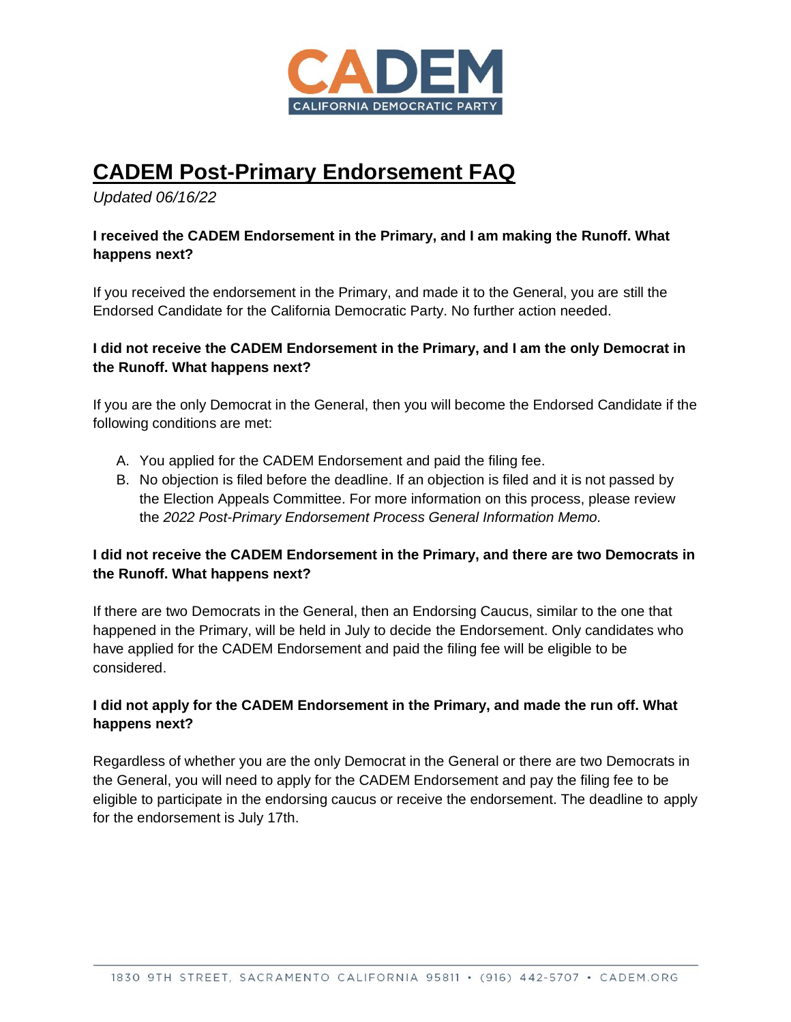

# **CADEM Post-Primary Endorsement FAQ**

*Updated 06/16/22*

### **I received the CADEM Endorsement in the Primary, and I am making the Runoff. What happens next?**

If you received the endorsement in the Primary, and made it to the General, you are still the Endorsed Candidate for the California Democratic Party. No further action needed.

### **I did not receive the CADEM Endorsement in the Primary, and I am the only Democrat in the Runoff. What happens next?**

If you are the only Democrat in the General, then you will become the Endorsed Candidate if the following conditions are met:

- A. You applied for the CADEM Endorsement and paid the filing fee.
- B. No objection is filed before the deadline. If an objection is filed and it is not passed by the Election Appeals Committee. For more information on this process, please review the *2022 Post-Primary Endorsement Process General Information Memo.*

### **I did not receive the CADEM Endorsement in the Primary, and there are two Democrats in the Runoff. What happens next?**

If there are two Democrats in the General, then an Endorsing Caucus, similar to the one that happened in the Primary, will be held in July to decide the Endorsement. Only candidates who have applied for the CADEM Endorsement and paid the filing fee will be eligible to be considered.

### **I did not apply for the CADEM Endorsement in the Primary, and made the run off. What happens next?**

Regardless of whether you are the only Democrat in the General or there are two Democrats in the General, you will need to apply for the CADEM Endorsement and pay the filing fee to be eligible to participate in the endorsing caucus or receive the endorsement. The deadline to apply for the endorsement is July 17th.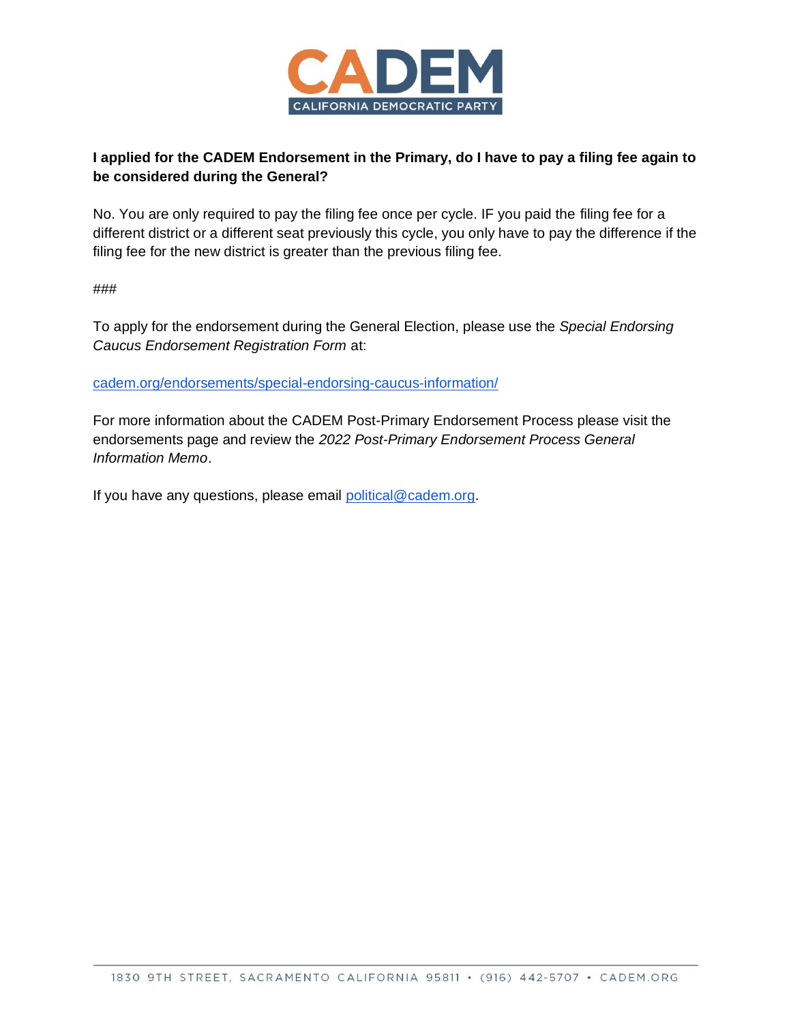

### **I applied for the CADEM Endorsement in the Primary, do I have to pay a filing fee again to be considered during the General?**

No. You are only required to pay the filing fee once per cycle. IF you paid the filing fee for a different district or a different seat previously this cycle, you only have to pay the difference if the filing fee for the new district is greater than the previous filing fee.

###

To apply for the endorsement during the General Election, please use the *Special Endorsing Caucus Endorsement Registration Form* at:

[cadem.org/endorsements/special-endorsing-caucus-information/](https://cadem.org/endorsements/special-endorsing-caucus-information/)

For more information about the CADEM Post-Primary Endorsement Process please visit the endorsements page and review the *2022 Post-Primary Endorsement Process General Information Memo*.

If you have any questions, please email [political@cadem.org.](mailto:political@cadem.org)